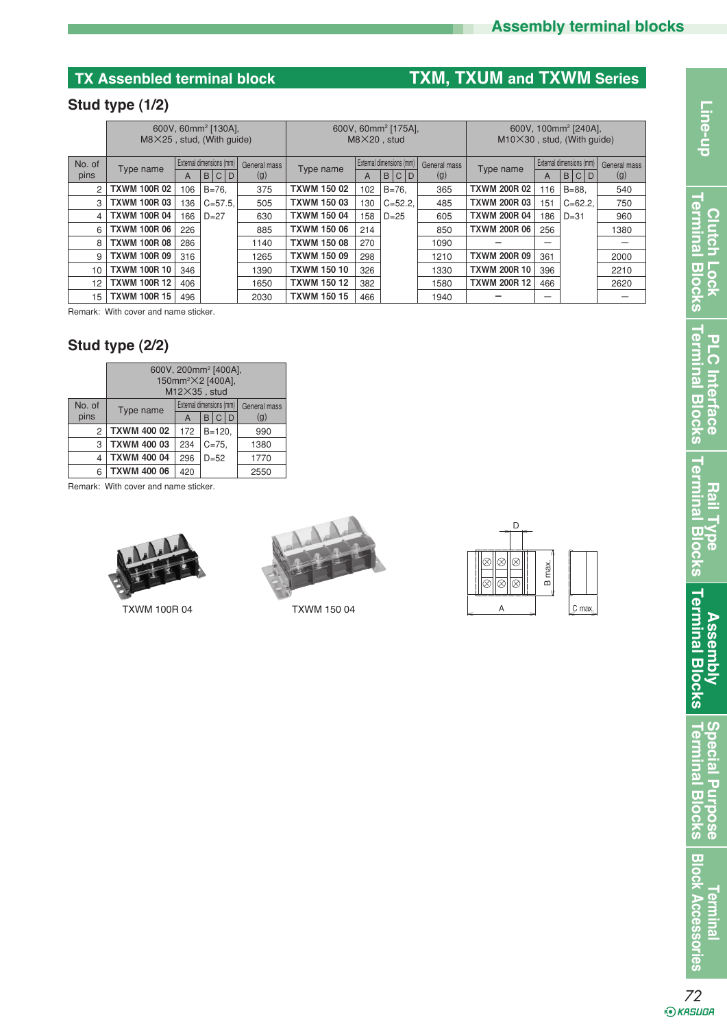# **Assembly terminal blocks**

# **TX Assenbled terminal block TXM, TXUM and TXWM Series**

### **Stud type (1/2)**

|        | 600V, 60mm <sup>2</sup> [130A],<br>$M8X25$ , stud, (With quide) |     |           |              | 600V, 60mm <sup>2</sup> [175A],<br>$M8X20$ , stud |                            |     |              | 600V, 100mm <sup>2</sup> [240A],<br>$M10\times30$ , stud, (With quide) |                          |     |              |      |
|--------|-----------------------------------------------------------------|-----|-----------|--------------|---------------------------------------------------|----------------------------|-----|--------------|------------------------------------------------------------------------|--------------------------|-----|--------------|------|
| No. of | External dimensions (mm)<br>Type name                           |     |           | General mass | Type name                                         | External dimensions (mm) I |     | General mass | Type name                                                              | External dimensions (mm) |     | General mass |      |
| pins   |                                                                 | A   |           | <b>BCD</b>   | (g)                                               |                            | A   | B C D        | (g)                                                                    |                          | A   | B C D        | (g)  |
| 2      | <b>TXWM 100R 02</b>                                             | 106 | $B = 76.$ |              | 375                                               | <b>TXWM 150 02</b>         | 102 | $B = 76.$    | 365                                                                    | <b>TXWM 200R 02</b>      | 116 | $B = 88.$    | 540  |
| 3      | <b>TXWM 100R 03</b>                                             | 136 |           | $C = 57.5$ . | 505                                               | <b>TXWM 150 03</b>         | 130 | $C = 52.2$   | 485                                                                    | <b>TXWM 200R 03</b>      | 151 | $C = 62.2$ . | 750  |
| 4      | <b>TXWM 100R 04</b>                                             | 166 | $D=27$    |              | 630                                               | <b>TXWM 150 04</b>         | 158 | $D = 25$     | 605                                                                    | <b>TXWM 200R 04</b>      | 186 | $D=31$       | 960  |
| 6      | <b>TXWM 100R 06</b>                                             | 226 |           |              | 885                                               | <b>TXWM 150 06</b>         | 214 |              | 850                                                                    | <b>TXWM 200R 06</b>      | 256 |              | 1380 |
| 8      | <b>TXWM 100R 08</b>                                             | 286 |           |              | 1140                                              | <b>TXWM 150 08</b>         | 270 |              | 1090                                                                   |                          |     |              |      |
| 9      | <b>TXWM 100R 09</b>                                             | 316 |           |              | 1265                                              | <b>TXWM 150 09</b>         | 298 |              | 1210                                                                   | <b>TXWM 200R 09</b>      | 361 |              | 2000 |
| 10     | <b>TXWM 100R 10</b>                                             | 346 |           |              | 1390                                              | <b>TXWM 150 10</b>         | 326 |              | 1330                                                                   | <b>TXWM 200R 10</b>      | 396 |              | 2210 |
| 12     | <b>TXWM 100R 12</b>                                             | 406 |           |              | 1650                                              | <b>TXWM 150 12</b>         | 382 |              | 1580                                                                   | <b>TXWM 200R 12</b>      | 466 |              | 2620 |
| 15     | <b>TXWM 100R 15</b>                                             | 496 |           |              | 2030                                              | <b>TXWM 150 15</b>         | 466 |              | 1940                                                                   |                          |     |              |      |

Remark: With cover and name sticker.

### **Stud type (2/2)**

|        | 600V, 200mm <sup>2</sup> [400A],<br>150mm <sup>2</sup> ×2 [400A],<br>$M12\times35$ , stud |     |                          |              |  |  |  |  |  |  |
|--------|-------------------------------------------------------------------------------------------|-----|--------------------------|--------------|--|--|--|--|--|--|
| No. of | Type name                                                                                 |     | External dimensions (mm) | General mass |  |  |  |  |  |  |
| pins   |                                                                                           | A   | C<br>l D<br>B            | (g)          |  |  |  |  |  |  |
| 2      | <b>TXWM 400 02</b>                                                                        | 172 | $B = 120$ ,              | 990          |  |  |  |  |  |  |
| 3      | <b>TXWM 400 03</b>                                                                        | 234 | $C = 75.$                | 1380         |  |  |  |  |  |  |
| 4      | <b>TXWM 400 04</b>                                                                        | 296 | $D=52$                   | 1770         |  |  |  |  |  |  |
| 6      | <b>TXWM 400 06</b>                                                                        | 420 |                          | 2550         |  |  |  |  |  |  |

Remark: With cover and name sticker.



TXWM 100R 04 TXWM 150 04



|  |    |          |       | B max. |        |  |
|--|----|----------|-------|--------|--------|--|
|  | -- | ----<br> | ≕<br> |        | C max. |  |

*72*<br>*•*⊙*к*явива

**Terminal**

**Block Accessories**